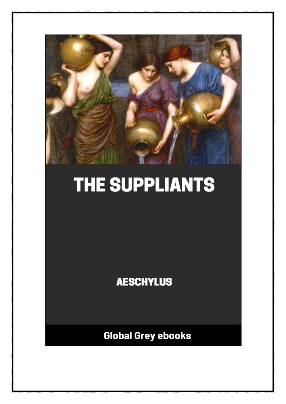

# THE SUPPLIANTS

**AESCHYLUS** 

**Global Grey ebooks**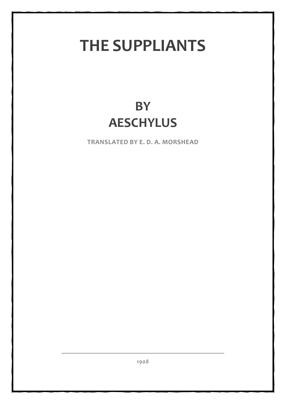## **THE SUPPLIANTS**

## **BY AESCHYLUS**

**TRANSLATED BY E. D. A. MORSHEAD**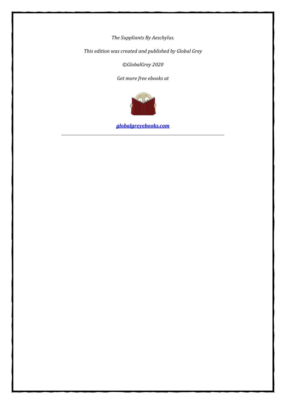*The Suppliants By Aeschylus.*

*This edition was created and published by Global Grey*

*©GlobalGrey 2020*

*Get more free ebooks at*



*[globalgreyebooks.com](https://www.globalgreyebooks.com/index.html)*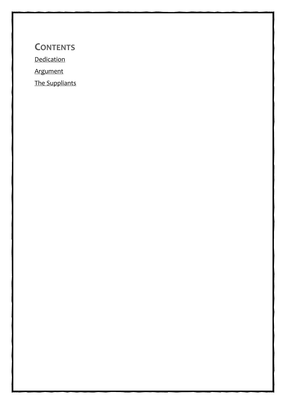**CONTENTS** [Dedication](#page-4-0) [Argument](#page-6-0) [The Suppliants](#page-7-0)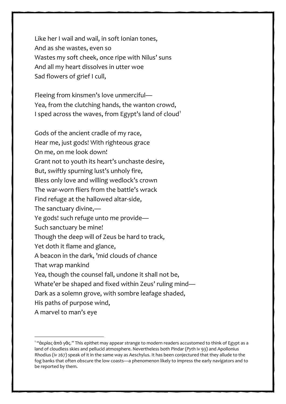Like her I wail and wail, in soft Ionian tones, And as she wastes, even so Wastes my soft cheek, once ripe with Nilus' suns And all my heart dissolves in utter woe Sad flowers of grief I cull,

7

Fleeing from kinsmen's love unmerciful— Yea, from the clutching hands, the wanton crowd, I sped across the waves, from Egypt's land of cloud<sup>[1](#page-10-0)</sup>

Gods of the ancient cradle of my race, Hear me, just gods! With righteous grace On me, on me look down! Grant not to youth its heart's unchaste desire, But, swiftly spurning lust's unholy fire, Bless only love and willing wedlock's crown The war-worn fliers from the battle's wrack Find refuge at the hallowed altar-side, The sanctuary divine,— Ye gods! such refuge unto me provide— Such sanctuary be mine! Though the deep will of Zeus be hard to track, Yet doth it flame and glance, A beacon in the dark, 'mid clouds of chance That wrap mankind Yea, though the counsel fall, undone it shall not be, Whate'er be shaped and fixed within Zeus' ruling mind— Dark as a solemn grove, with sombre leafage shaded, His paths of purpose wind, A marvel to man's eye

<span id="page-10-0"></span> $1$  "ἀερίας ἀπὸ γᾶς." This epithet may appear strange to modern readers accustomed to think of Egypt as a land of cloudless skies and pellucid atmosphere. Nevertheless both Pindar (*Pyth* iv 93) and Apollonius Rhodius (iv 267) speak of it in the same way as Aeschylus. It has been conjectured that they allude to the fog banks that often obscure the low coasts—a phenomenon likely to impress the early navigators and to be reported by them.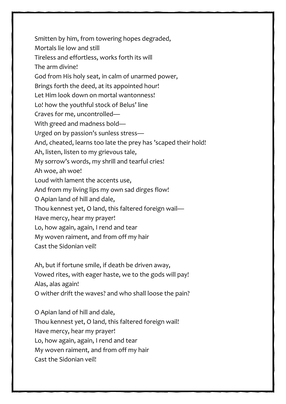Smitten by him, from towering hopes degraded, Mortals lie low and still Tireless and effortless, works forth its will The arm divine! God from His holy seat, in calm of unarmed power, Brings forth the deed, at its appointed hour! Let Him look down on mortal wantonness! Lo! how the youthful stock of Belus' line Craves for me, uncontrolled— With greed and madness bold— Urged on by passion's sunless stress— And, cheated, learns too late the prey has 'scaped their hold! Ah, listen, listen to my grievous tale, My sorrow's words, my shrill and tearful cries! Ah woe, ah woe! Loud with lament the accents use, And from my living lips my own sad dirges flow! O Apian land of hill and dale, Thou kennest yet, O land, this faltered foreign wail— Have mercy, hear my prayer! Lo, how again, again, I rend and tear My woven raiment, and from off my hair Cast the Sidonian veil!

Ah, but if fortune smile, if death be driven away, Vowed rites, with eager haste, we to the gods will pay! Alas, alas again! O wither drift the waves? and who shall loose the pain?

O Apian land of hill and dale, Thou kennest yet, O land, this faltered foreign wail! Have mercy, hear my prayer! Lo, how again, again, I rend and tear My woven raiment, and from off my hair Cast the Sidonian veil!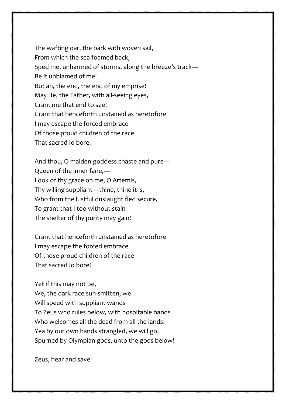The wafting oar, the bark with woven sail, From which the sea foamed back, Sped me, unharmed of storms, along the breeze's track— Be it unblamed of me! But ah, the end, the end of my emprise! May He, the Father, with all-seeing eyes, Grant me that end to see! Grant that henceforth unstained as heretofore I may escape the forced embrace Of those proud children of the race That sacred Io bore.

And thou, O maiden-goddess chaste and pure— Queen of the inner fane,— Look of thy grace on me, O Artemis, Thy willing suppliant—thine, thine it is, Who from the lustful onslaught fled secure, To grant that I too without stain The shelter of thy purity may gain!

Grant that henceforth unstained as heretofore I may escape the forced embrace Of those proud children of the race That sacred Io bore!

Yet if this may not be,

We, the dark race sun-smitten, we Will speed with suppliant wands To Zeus who rules below, with hospitable hands Who welcomes all the dead from all the lands: Yea by our own hands strangled, we will go, Spurned by Olympian gods, unto the gods below!

Zeus, hear and save!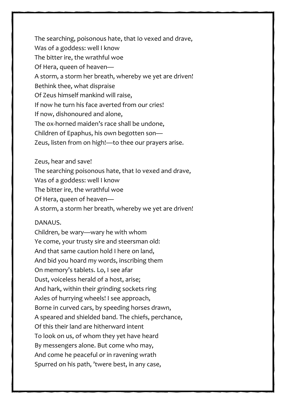The searching, poisonous hate, that Io vexed and drave, Was of a goddess: well I know The bitter ire, the wrathful woe Of Hera, queen of heaven— A storm, a storm her breath, whereby we yet are driven! Bethink thee, what dispraise Of Zeus himself mankind will raise, If now he turn his face averted from our cries! If now, dishonoured and alone, The ox-horned maiden's race shall be undone, Children of Epaphus, his own begotten son— Zeus, listen from on high!—to thee our prayers arise.

Zeus, hear and save!

The searching poisonous hate, that Io vexed and drave,

Was of a goddess: well I know

The bitter ire, the wrathful woe

Of Hera, queen of heaven—

A storm, a storm her breath, whereby we yet are driven!

## DANAUS.

Children, be wary—wary he with whom Ye come, your trusty sire and steersman old: And that same caution hold I here on land, And bid you hoard my words, inscribing them On memory's tablets. Lo, I see afar Dust, voiceless herald of a host, arise; And hark, within their grinding sockets ring Axles of hurrying wheels! I see approach, Borne in curved cars, by speeding horses drawn, A speared and shielded band. The chiefs, perchance, Of this their land are hitherward intent To look on us, of whom they yet have heard By messengers alone. But come who may, And come he peaceful or in ravening wrath Spurred on his path, 'twere best, in any case,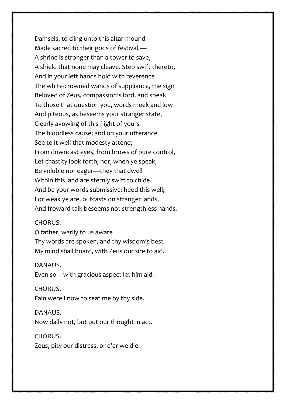Damsels, to cling unto this altar-mound Made sacred to their gods of festival,— A shrine is stronger than a tower to save, A shield that none may cleave. Step swift thereto, And in your left hands hold with reverence The white-crowned wands of suppliance, the sign Beloved of Zeus, compassion's lord, and speak To those that question you, words meek and low And piteous, as beseems your stranger state, Clearly avowing of this flight of yours The bloodless cause; and on your utterance See to it well that modesty attend; From downcast eyes, from brows of pure control, Let chastity look forth; nor, when ye speak, Be voluble nor eager—they that dwell Within this land are sternly swift to chide. And be your words submissive: heed this well; For weak ye are, outcasts on stranger lands, And froward talk beseems not strengthless hands.

#### CHORUS.

O father, warily to us aware Thy words are spoken, and thy wisdom's best My mind shall hoard, with Zeus our sire to aid.

#### DANAUS.

Even so—with gracious aspect let him aid.

#### CHORUS.

Fain were I now to seat me by thy side.

#### DANAUS.

Now dally not, but put our thought in act.

#### CHORUS.

Zeus, pity our distress, or e'er we die.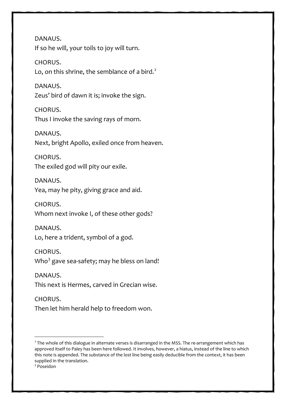DANAUS. If so he will, your toils to joy will turn.

CHORUS. Lo, on this shrine, the semblance of a bird. $2$ 

DANAUS. Zeus' bird of dawn it is; invoke the sign.

CHORUS. Thus I invoke the saving rays of morn.

DANAUS. Next, bright Apollo, exiled once from heaven.

CHORUS. The exiled god will pity our exile.

DANAUS. Yea, may he pity, giving grace and aid.

CHORUS. Whom next invoke I, of these other gods?

DANAUS. Lo, here a trident, symbol of a god.

CHORUS. Who $^3$  $^3$  gave sea-safety; may he bless on land!

DANAUS. This next is Hermes, carved in Grecian wise.

CHORUS. Then let him herald help to freedom won.

<span id="page-15-0"></span><sup>2</sup> The whole of this dialogue in alternate verses is disarranged in the MSS. The re-arrangement which has approved itself to Paley has been here followed. It involves, however, a hiatus, instead of the line to which this note is appended. The substance of the lost line being easily deducible from the context, it has been supplied in the translation.

<span id="page-15-1"></span><sup>3</sup> Poseidon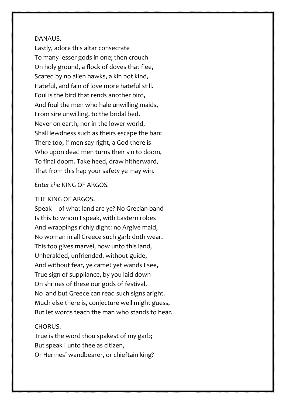#### DANAUS.

Lastly, adore this altar consecrate To many lesser gods in one; then crouch On holy ground, a flock of doves that flee, Scared by no alien hawks, a kin not kind, Hateful, and fain of love more hateful still. Foul is the bird that rends another bird, And foul the men who hale unwilling maids, From sire unwilling, to the bridal bed. Never on earth, nor in the lower world, Shall lewdness such as theirs escape the ban: There too, if men say right, a God there is Who upon dead men turns their sin to doom, To final doom. Take heed, draw hitherward, That from this hap your safety ye may win.

*Enter the* KING OF ARGOS*.* 

#### THE KING OF ARGOS.

Speak—of what land are ye? No Grecian band Is this to whom I speak, with Eastern robes And wrappings richly dight: no Argive maid, No woman in all Greece such garb doth wear. This too gives marvel, how unto this land, Unheralded, unfriended, without guide, And without fear, ye came? yet wands I see, True sign of suppliance, by you laid down On shrines of these our gods of festival. No land but Greece can read such signs aright. Much else there is, conjecture well might guess, But let words teach the man who stands to hear.

#### CHORUS.

True is the word thou spakest of my garb; But speak I unto thee as citizen, Or Hermes' wandbearer, or chieftain king?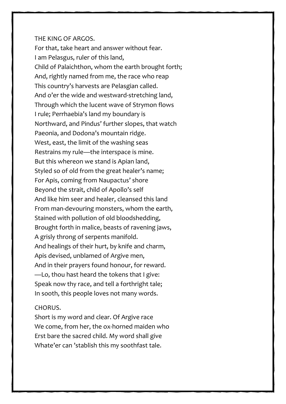#### THE KING OF ARGOS.

For that, take heart and answer without fear. I am Pelasgus, ruler of this land, Child of Palaichthon, whom the earth brought forth; And, rightly named from me, the race who reap This country's harvests are Pelasgian called. And o'er the wide and westward-stretching land, Through which the lucent wave of Strymon flows I rule; Perrhaebia's land my boundary is Northward, and Pindus' further slopes, that watch Paeonia, and Dodona's mountain ridge. West, east, the limit of the washing seas Restrains my rule—the interspace is mine. But this whereon we stand is Apian land, Styled so of old from the great healer's name; For Apis, coming from Naupactus' shore Beyond the strait, child of Apollo's self And like him seer and healer, cleansed this land From man-devouring monsters, whom the earth, Stained with pollution of old bloodshedding, Brought forth in malice, beasts of ravening jaws, A grisly throng of serpents manifold. And healings of their hurt, by knife and charm, Apis devised, unblamed of Argive men, And in their prayers found honour, for reward. —Lo, thou hast heard the tokens that I give: Speak now thy race, and tell a forthright tale; In sooth, this people loves not many words.

## CHORUS.

Short is my word and clear. Of Argive race We come, from her, the ox-horned maiden who Erst bare the sacred child. My word shall give Whate'er can 'stablish this my soothfast tale.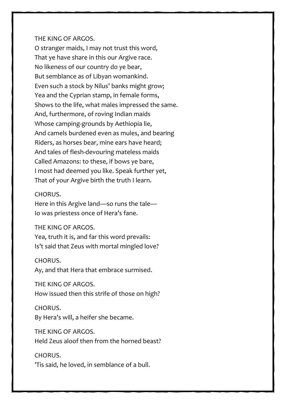#### THE KING OF ARGOS.

O stranger maids, I may not trust this word, That ye have share in this our Argive race. No likeness of our country do ye bear, But semblance as of Libyan womankind. Even such a stock by Nilus' banks might grow; Yea and the Cyprian stamp, in female forms, Shows to the life, what males impressed the same. And, furthermore, of roving Indian maids Whose camping-grounds by Aethiopia lie, And camels burdened even as mules, and bearing Riders, as horses bear, mine ears have heard; And tales of flesh-devouring mateless maids Called Amazons: to these, if bows ye bare, I most had deemed you like. Speak further yet, That of your Argive birth the truth I learn.

#### CHORUS.

Here in this Argive land—so runs the tale— Io was priestess once of Hera's fane.

#### THE KING OF ARGOS.

Yea, truth it is, and far this word prevails: Is't said that Zeus with mortal mingled love?

#### CHORUS.

Ay, and that Hera that embrace surmised.

THE KING OF ARGOS.

How issued then this strife of those on high?

#### CHORUS.

By Hera's will, a heifer she became.

THE KING OF ARGOS. Held Zeus aloof then from the horned beast?

## CHORUS.

'Tis said, he loved, in semblance of a bull.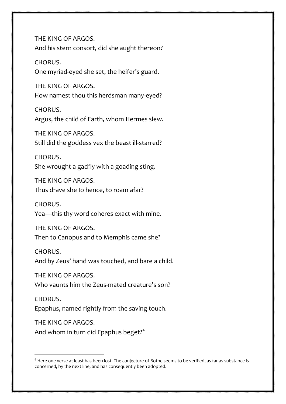THE KING OF ARGOS. And his stern consort, did she aught thereon?

CHORUS. One myriad-eyed she set, the heifer's guard.

THE KING OF ARGOS. How namest thou this herdsman many-eyed?

CHORUS. Argus, the child of Earth, whom Hermes slew.

THE KING OF ARGOS. Still did the goddess vex the beast ill-starred?

CHORUS. She wrought a gadfly with a goading sting.

THE KING OF ARGOS. Thus drave she Io hence, to roam afar?

CHORUS. Yea—this thy word coheres exact with mine.

THE KING OF ARGOS. Then to Canopus and to Memphis came she?

CHORUS.

And by Zeus' hand was touched, and bare a child.

THE KING OF ARGOS. Who vaunts him the Zeus-mated creature's son?

CHORUS. Epaphus, named rightly from the saving touch.

THE KING OF ARGOS. And whom in turn did Epaphus beget?<sup>[4](#page-19-0)</sup>

<span id="page-19-0"></span><sup>4</sup> Here one verse at least has been lost. The conjecture of Bothe seems to be verified, as far as substance is concerned, by the next line, and has consequently been adopted.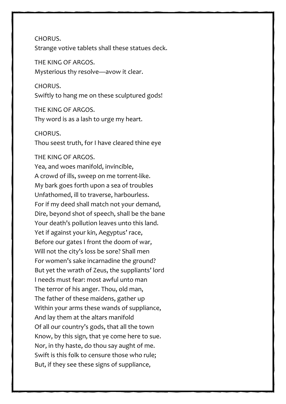CHORUS.

Strange votive tablets shall these statues deck.

THE KING OF ARGOS. Mysterious thy resolve—avow it clear.

CHORUS. Swiftly to hang me on these sculptured gods!

THE KING OF ARGOS. Thy word is as a lash to urge my heart.

#### CHORUS.

Thou seest truth, for I have cleared thine eye

#### THE KING OF ARGOS.

Yea, and woes manifold, invincible, A crowd of ills, sweep on me torrent-like. My bark goes forth upon a sea of troubles Unfathomed, ill to traverse, harbourless. For if my deed shall match not your demand, Dire, beyond shot of speech, shall be the bane Your death's pollution leaves unto this land. Yet if against your kin, Aegyptus' race, Before our gates I front the doom of war, Will not the city's loss be sore? Shall men For women's sake incarnadine the ground? But yet the wrath of Zeus, the suppliants' lord I needs must fear: most awful unto man The terror of his anger. Thou, old man, The father of these maidens, gather up Within your arms these wands of suppliance, And lay them at the altars manifold Of all our country's gods, that all the town Know, by this sign, that ye come here to sue. Nor, in thy haste, do thou say aught of me. Swift is this folk to censure those who rule; But, if they see these signs of suppliance,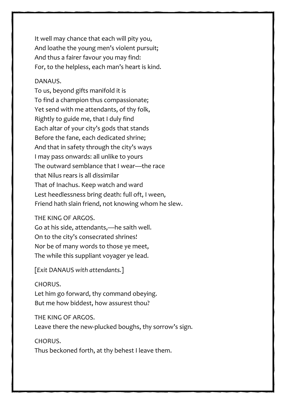It well may chance that each will pity you, And loathe the young men's violent pursuit; And thus a fairer favour you may find: For, to the helpless, each man's heart is kind.

## DANAUS.

To us, beyond gifts manifold it is To find a champion thus compassionate; Yet send with me attendants, of thy folk, Rightly to guide me, that I duly find Each altar of your city's gods that stands Before the fane, each dedicated shrine; And that in safety through the city's ways I may pass onwards: all unlike to yours The outward semblance that I wear—the race that Nilus rears is all dissimilar That of Inachus. Keep watch and ward Lest heedlessness bring death: full oft, I ween, Friend hath slain friend, not knowing whom he slew.

THE KING OF ARGOS.

Go at his side, attendants,—he saith well. On to the city's consecrated shrines! Nor be of many words to those ye meet, The while this suppliant voyager ye lead.

[*Exit* DANAUS *with attendants.*]

CHORUS. Let him go forward, thy command obeying. But me how biddest, how assurest thou?

THE KING OF ARGOS. Leave there the new-plucked boughs, thy sorrow's sign.

CHORUS. Thus beckoned forth, at thy behest I leave them.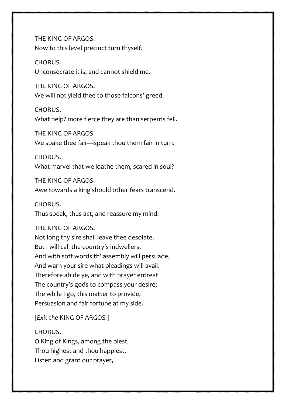THE KING OF ARGOS. Now to this level precinct turn thyself.

CHORUS. Unconsecrate it is, and cannot shield me.

THE KING OF ARGOS. We will not yield thee to those falcons' greed.

CHORUS. What help? more fierce they are than serpents fell.

THE KING OF ARGOS. We spake thee fair—speak thou them fair in turn.

CHORUS. What marvel that we loathe them, scared in soul?

THE KING OF ARGOS.

Awe towards a king should other fears transcend.

CHORUS.

Thus speak, thus act, and reassure my mind.

THE KING OF ARGOS.

Not long thy sire shall leave thee desolate. But I will call the country's indwellers, And with soft words th' assembly will persuade, And warn your sire what pleadings will avail. Therefore abide ye, and with prayer entreat The country's gods to compass your desire; The while I go, this matter to provide, Persuasion and fair fortune at my side.

[*Exit the* KING OF ARGOS*.*]

CHORUS.

O King of Kings, among the blest Thou highest and thou happiest, Listen and grant our prayer,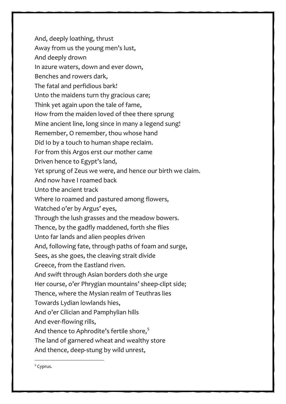And, deeply loathing, thrust Away from us the young men's lust, And deeply drown In azure waters, down and ever down, Benches and rowers dark, The fatal and perfidious bark! Unto the maidens turn thy gracious care; Think yet again upon the tale of fame, How from the maiden loved of thee there sprung Mine ancient line, long since in many a legend sung! Remember, O remember, thou whose hand Did Io by a touch to human shape reclaim. For from this Argos erst our mother came Driven hence to Egypt's land, Yet sprung of Zeus we were, and hence our birth we claim. And now have I roamed back Unto the ancient track Where Io roamed and pastured among flowers, Watched o'er by Argus' eyes, Through the lush grasses and the meadow bowers. Thence, by the gadfly maddened, forth she flies Unto far lands and alien peoples driven And, following fate, through paths of foam and surge, Sees, as she goes, the cleaving strait divide Greece, from the Eastland riven. And swift through Asian borders doth she urge Her course, o'er Phrygian mountains' sheep-clipt side; Thence, where the Mysian realm of Teuthras lies Towards Lydian lowlands hies, And o'er Cilician and Pamphylian hills And ever-flowing rills, And thence to Aphrodite's fertile shore, $5$ The land of garnered wheat and wealthy store And thence, deep-stung by wild unrest,

<span id="page-28-0"></span><sup>5</sup> Cyprus.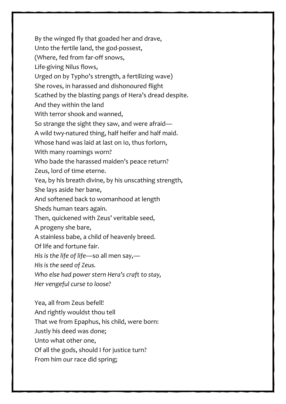By the winged fly that goaded her and drave, Unto the fertile land, the god-possest, (Where, fed from far-off snows, Life-giving Nilus flows, Urged on by Typho's strength, a fertilizing wave) She roves, in harassed and dishonoured flight Scathed by the blasting pangs of Hera's dread despite. And they within the land With terror shook and wanned, So strange the sight they saw, and were afraid— A wild twy-natured thing, half heifer and half maid. Whose hand was laid at last on Io, thus forlorn, With many roamings worn? Who bade the harassed maiden's peace return? Zeus, lord of time eterne. Yea, by his breath divine, by his unscathing strength, She lays aside her bane, And softened back to womanhood at length Sheds human tears again. Then, quickened with Zeus' veritable seed, A progeny she bare, A stainless babe, a child of heavenly breed. Of life and fortune fair. *His is the life of life*—so all men say,— *His is the seed of Zeus. Who else had power stern Hera's craft to stay, Her vengeful curse to loose?* Yea, all from Zeus befell!

And rightly wouldst thou tell

That we from Epaphus, his child, were born:

Justly his deed was done;

Unto what other one,

Of all the gods, should I for justice turn?

From him our race did spring;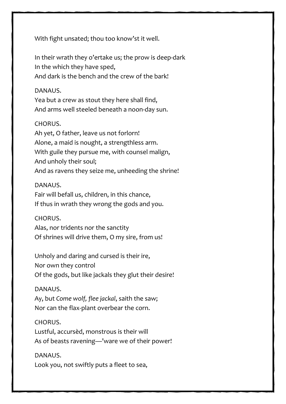With fight unsated; thou too know'st it well.

In their wrath they o'ertake us; the prow is deep-dark In the which they have sped, And dark is the bench and the crew of the bark!

## DANAUS.

Yea but a crew as stout they here shall find, And arms well steeled beneath a noon-day sun.

## CHORUS.

Ah yet, O father, leave us not forlorn! Alone, a maid is nought, a strengthless arm. With guile they pursue me, with counsel malign, And unholy their soul; And as ravens they seize me, unheeding the shrine!

## DANAUS.

Fair will befall us, children, in this chance, If thus in wrath they wrong the gods and you.

## CHORUS.

Alas, nor tridents nor the sanctity Of shrines will drive them, O my sire, from us!

Unholy and daring and cursed is their ire, Nor own they control Of the gods, but like jackals they glut their desire!

## DANAUS.

Ay, but *Come wolf, flee jackal*, saith the saw; Nor can the flax-plant overbear the corn.

## CHORUS.

Lustful, accursèd, monstrous is their will As of beasts ravening—'ware we of their power!

## DANAUS.

Look you, not swiftly puts a fleet to sea,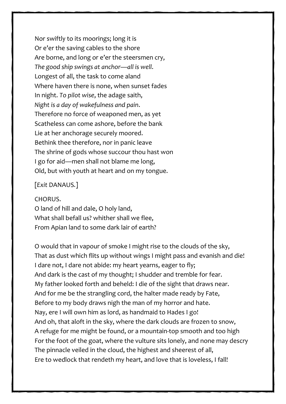Nor swiftly to its moorings; long it is Or e'er the saving cables to the shore Are borne, and long or e'er the steersmen cry, *The good ship swings at anchor—all is well*. Longest of all, the task to come aland Where haven there is none, when sunset fades In night. *To pilot wise*, the adage saith, *Night is a day of wakefulness and pain*. Therefore no force of weaponed men, as yet Scatheless can come ashore, before the bank Lie at her anchorage securely moored. Bethink thee therefore, nor in panic leave The shrine of gods whose succour thou hast won I go for aid—men shall not blame me long, Old, but with youth at heart and on my tongue.

## [*Exit* DANAUS*.*]

#### CHORUS.

O land of hill and dale, O holy land, What shall befall us? whither shall we flee, From Apian land to some dark lair of earth?

O would that in vapour of smoke I might rise to the clouds of the sky, That as dust which flits up without wings I might pass and evanish and die! I dare not, I dare not abide: my heart yearns, eager to fly; And dark is the cast of my thought; I shudder and tremble for fear. My father looked forth and beheld: I die of the sight that draws near. And for me be the strangling cord, the halter made ready by Fate, Before to my body draws nigh the man of my horror and hate. Nay, ere I will own him as lord, as handmaid to Hades I go! And oh, that aloft in the sky, where the dark clouds are frozen to snow, A refuge for me might be found, or a mountain-top smooth and too high For the foot of the goat, where the vulture sits lonely, and none may descry The pinnacle veiled in the cloud, the highest and sheerest of all, Ere to wedlock that rendeth my heart, and love that is loveless, I fall!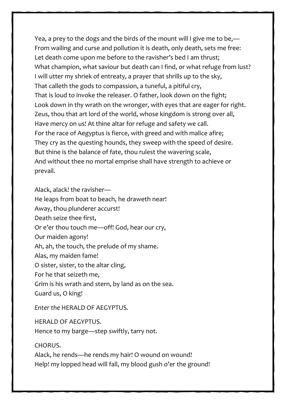Yea, a prey to the dogs and the birds of the mount will I give me to be,— From wailing and curse and pollution it is death, only death, sets me free: Let death come upon me before to the ravisher's bed I am thrust; What champion, what saviour but death can I find, or what refuge from lust? I will utter my shriek of entreaty, a prayer that shrills up to the sky, That calleth the gods to compassion, a tuneful, a pitiful cry, That is loud to invoke the releaser. O father, look down on the fight; Look down in thy wrath on the wronger, with eyes that are eager for right. Zeus, thou that art lord of the world, whose kingdom is strong over all, Have mercy on us! At thine altar for refuge and safety we call. For the race of Aegyptus is fierce, with greed and with malice afire; They cry as the questing hounds, they sweep with the speed of desire. But thine is the balance of fate, thou rulest the wavering scale, And without thee no mortal emprise shall have strength to achieve or prevail.

Alack, alack! the ravisher— He leaps from boat to beach, he draweth near! Away, thou plunderer accurst! Death seize thee first, Or e'er thou touch me—off! God, hear our cry, Our maiden agony! Ah, ah, the touch, the prelude of my shame. Alas, my maiden fame! O sister, sister, to the altar cling, For he that seizeth me, Grim is his wrath and stern, by land as on the sea. Guard us, O king!

*Enter the* HERALD OF AEGYPTUS*.* 

HERALD OF AEGYPTUS.

Hence to my barge—step swiftly, tarry not.

CHORUS.

Alack, he rends—he rends my hair! O wound on wound! Help! my lopped head will fall, my blood gush o'er the ground!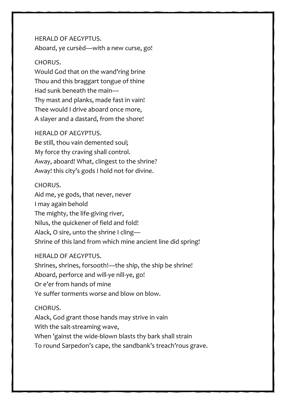## HERALD OF AEGYPTUS. Aboard, ye cursèd—with a new curse, go!

## CHORUS.

Would God that on the wand'ring brine Thou and this braggart tongue of thine Had sunk beneath the main— Thy mast and planks, made fast in vain! Thee would I drive aboard once more, A slayer and a dastard, from the shore!

## HERALD OF AEGYPTUS.

Be still, thou vain demented soul; My force thy craving shall control. Away, aboard! What, clingest to the shrine? Away! this city's gods I hold not for divine.

## CHORUS.

Aid me, ye gods, that never, never I may again behold The mighty, the life-giving river, Nilus, the quickener of field and fold! Alack, O sire, unto the shrine I cling— Shrine of this land from which mine ancient line did spring!

## HERALD OF AEGYPTUS.

Shrines, shrines, forsooth!—the ship, the ship be shrine! Aboard, perforce and will-ye nill-ye, go! Or e'er from hands of mine Ye suffer torments worse and blow on blow.

## CHORUS.

Alack, God grant those hands may strive in vain With the salt-streaming wave, When 'gainst the wide-blown blasts thy bark shall strain To round Sarpedon's cape, the sandbank's treach'rous grave.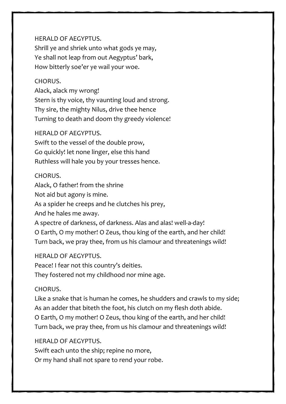HERALD OF AEGYPTUS. Shrill ye and shriek unto what gods ye may, Ye shall not leap from out Aegyptus' bark, How bitterly soe'er ye wail your woe.

## CHORUS.

Alack, alack my wrong! Stern is thy voice, thy vaunting loud and strong. Thy sire, the mighty Nilus, drive thee hence Turning to death and doom thy greedy violence!

## HERALD OF AEGYPTUS.

Swift to the vessel of the double prow, Go quickly! let none linger, else this hand Ruthless will hale you by your tresses hence.

## CHORUS.

Alack, O father! from the shrine

Not aid but agony is mine.

As a spider he creeps and he clutches his prey,

And he hales me away.

A spectre of darkness, of darkness. Alas and alas! well-a-day! O Earth, O my mother! O Zeus, thou king of the earth, and her child! Turn back, we pray thee, from us his clamour and threatenings wild!

## HERALD OF AEGYPTUS.

Peace! I fear not this country's deities. They fostered not my childhood nor mine age.

## CHORUS.

Like a snake that is human he comes, he shudders and crawls to my side; As an adder that biteth the foot, his clutch on my flesh doth abide. O Earth, O my mother! O Zeus, thou king of the earth, and her child! Turn back, we pray thee, from us his clamour and threatenings wild!

## HERALD OF AEGYPTUS.

Swift each unto the ship; repine no more, Or my hand shall not spare to rend your robe.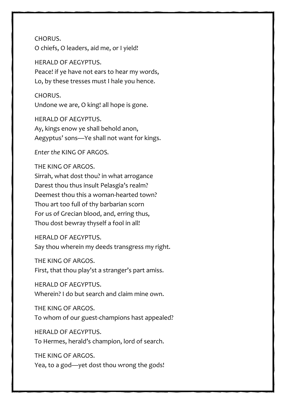CHORUS. O chiefs, O leaders, aid me, or I yield!

HERALD OF AEGYPTUS. Peace! if ye have not ears to hear my words, Lo, by these tresses must I hale you hence.

CHORUS. Undone we are, O king! all hope is gone.

HERALD OF AEGYPTUS. Ay, kings enow ye shall behold anon, Aegyptus' sons—Ye shall not want for kings.

*Enter the* KING OF ARGOS*.* 

THE KING OF ARGOS. Sirrah, what dost thou? in what arrogance Darest thou thus insult Pelasgia's realm? Deemest thou this a woman-hearted town? Thou art too full of thy barbarian scorn For us of Grecian blood, and, erring thus, Thou dost bewray thyself a fool in all!

HERALD OF AEGYPTUS. Say thou wherein my deeds transgress my right.

THE KING OF ARGOS.

First, that thou play'st a stranger's part amiss.

HERALD OF AEGYPTUS. Wherein? I do but search and claim mine own.

THE KING OF ARGOS. To whom of our guest-champions hast appealed?

HERALD OF AEGYPTUS. To Hermes, herald's champion, lord of search.

THE KING OF ARGOS.

Yea, to a god—yet dost thou wrong the gods!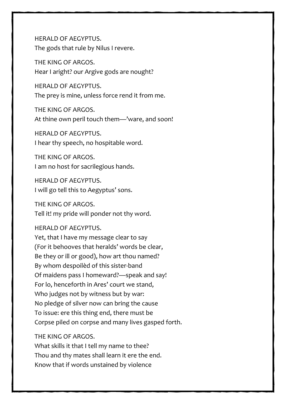HERALD OF AEGYPTUS. The gods that rule by Nilus I revere.

THE KING OF ARGOS. Hear I aright? our Argive gods are nought?

HERALD OF AEGYPTUS. The prey is mine, unless force rend it from me.

THE KING OF ARGOS. At thine own peril touch them—'ware, and soon!

HERALD OF AEGYPTUS. I hear thy speech, no hospitable word.

THE KING OF ARGOS. I am no host for sacrilegious hands.

HERALD OF AEGYPTUS. I will go tell this to Aegyptus' sons.

THE KING OF ARGOS. Tell it! my pride will ponder not thy word.

HERALD OF AEGYPTUS.

Yet, that I have my message clear to say (For it behooves that heralds' words be clear, Be they or ill or good), how art thou named? By whom despoilèd of this sister-band Of maidens pass I homeward?—speak and say! For lo, henceforth in Ares' court we stand, Who judges not by witness but by war: No pledge of silver now can bring the cause To issue: ere this thing end, there must be Corpse piled on corpse and many lives gasped forth.

## THE KING OF ARGOS.

What skills it that I tell my name to thee? Thou and thy mates shall learn it ere the end. Know that if words unstained by violence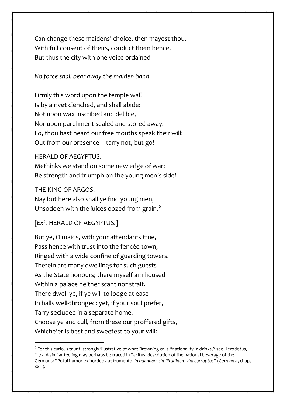Can change these maidens' choice, then mayest thou, With full consent of theirs, conduct them hence. But thus the city with one voice ordained—

*No force shall bear away the maiden band*.

Firmly this word upon the temple wall Is by a rivet clenched, and shall abide: Not upon wax inscribed and delible, Nor upon parchment sealed and stored away.— Lo, thou hast heard our free mouths speak their will: Out from our presence—tarry not, but go!

HERALD OF AEGYPTUS.

Methinks we stand on some new edge of war: Be strength and triumph on the young men's side!

THE KING OF ARGOS.

Nay but here also shall ye find young men, Unsodden with the juices oozed from grain.<sup>[6](#page-42-0)</sup>

[*Exit* HERALD OF AEGYPTUS*.*]

But ye, O maids, with your attendants true, Pass hence with trust into the fencèd town, Ringed with a wide confine of guarding towers. Therein are many dwellings for such guests As the State honours; there myself am housed Within a palace neither scant nor strait. There dwell ye, if ye will to lodge at ease In halls well-thronged: yet, if your soul prefer, Tarry secluded in a separate home. Choose ye and cull, from these our proffered gifts, Whiche'er is best and sweetest to your will:

<span id="page-42-0"></span><sup>6</sup> For this curious taunt, strongly illustrative of what Browning calls "nationality in drinks," see Herodotus, ii. 77. A similar feeling may perhaps be traced in Tacitus' description of the national beverage of the Germans: "Potui humor ex hordeo aut frumento, *in quandam similitudinem vini corruptus*" (*Germania*, chap, xxiii).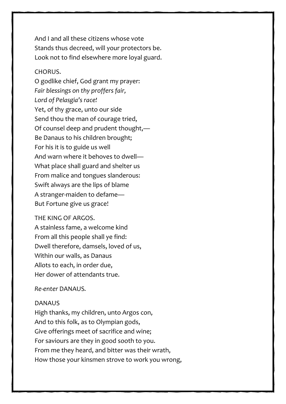And I and all these citizens whose vote Stands thus decreed, will your protectors be. Look not to find elsewhere more loyal guard.

## CHORUS.

O godlike chief, God grant my prayer: *Fair blessings on thy proffers fair, Lord of Pelasgia's race!* Yet, of thy grace, unto our side Send thou the man of courage tried, Of counsel deep and prudent thought,— Be Danaus to his children brought; For his it is to guide us well And warn where it behoves to dwell— What place shall guard and shelter us From malice and tongues slanderous: Swift always are the lips of blame A stranger-maiden to defame— But Fortune give us grace!

#### THE KING OF ARGOS.

A stainless fame, a welcome kind From all this people shall ye find: Dwell therefore, damsels, loved of us, Within our walls, as Danaus Allots to each, in order due, Her dower of attendants true.

#### *Re-enter* DANAUS*.*

#### DANAUS

High thanks, my children, unto Argos con, And to this folk, as to Olympian gods, Give offerings meet of sacrifice and wine; For saviours are they in good sooth to you. From me they heard, and bitter was their wrath, How those your kinsmen strove to work you wrong,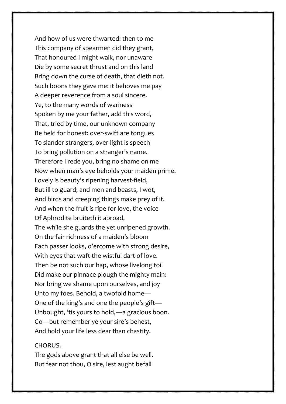And how of us were thwarted: then to me This company of spearmen did they grant, That honoured I might walk, nor unaware Die by some secret thrust and on this land Bring down the curse of death, that dieth not. Such boons they gave me: it behoves me pay A deeper reverence from a soul sincere. Ye, to the many words of wariness Spoken by me your father, add this word, That, tried by time, our unknown company Be held for honest: over-swift are tongues To slander strangers, over-light is speech To bring pollution on a stranger's name. Therefore I rede you, bring no shame on me Now when man's eye beholds your maiden prime. Lovely is beauty's ripening harvest-field, But ill to guard; and men and beasts, I wot, And birds and creeping things make prey of it. And when the fruit is ripe for love, the voice Of Aphrodite bruiteth it abroad, The while she guards the yet unripened growth. On the fair richness of a maiden's bloom Each passer looks, o'ercome with strong desire, With eyes that waft the wistful dart of love. Then be not such our hap, whose livelong toil Did make our pinnace plough the mighty main: Nor bring we shame upon ourselves, and joy Unto my foes. Behold, a twofold home— One of the king's and one the people's gift— Unbought, 'tis yours to hold,—a gracious boon. Go—but remember ye your sire's behest, And hold your life less dear than chastity.

#### CHORUS.

The gods above grant that all else be well. But fear not thou, O sire, lest aught befall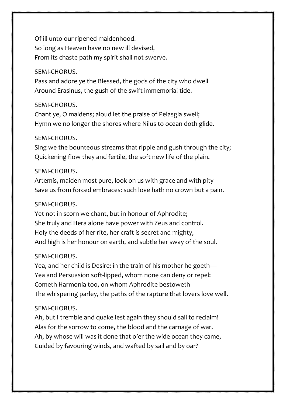Of ill unto our ripened maidenhood. So long as Heaven have no new ill devised, From its chaste path my spirit shall not swerve.

#### SEMI-CHORUS.

Pass and adore ye the Blessed, the gods of the city who dwell Around Erasinus, the gush of the swift immemorial tide.

#### SEMI-CHORUS.

Chant ye, O maidens; aloud let the praise of Pelasgia swell; Hymn we no longer the shores where Nilus to ocean doth glide.

#### SEMI-CHORUS.

Sing we the bounteous streams that ripple and gush through the city; Quickening flow they and fertile, the soft new life of the plain.

#### SEMI-CHORUS.

Artemis, maiden most pure, look on us with grace and with pity— Save us from forced embraces: such love hath no crown but a pain.

#### SEMI-CHORUS.

Yet not in scorn we chant, but in honour of Aphrodite; She truly and Hera alone have power with Zeus and control. Holy the deeds of her rite, her craft is secret and mighty, And high is her honour on earth, and subtle her sway of the soul.

#### SEMI-CHORUS.

Yea, and her child is Desire: in the train of his mother he goeth— Yea and Persuasion soft-lipped, whom none can deny or repel: Cometh Harmonia too, on whom Aphrodite bestoweth The whispering parley, the paths of the rapture that lovers love well.

## SEMI-CHORUS.

Ah, but I tremble and quake lest again they should sail to reclaim! Alas for the sorrow to come, the blood and the carnage of war. Ah, by whose will was it done that o'er the wide ocean they came, Guided by favouring winds, and wafted by sail and by oar?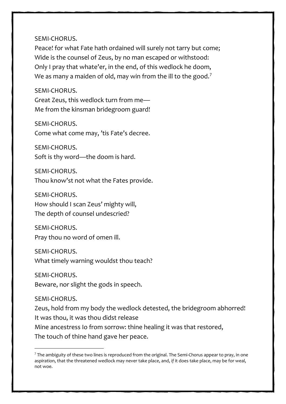#### SEMI-CHORUS.

Peace! for what Fate hath ordained will surely not tarry but come; Wide is the counsel of Zeus, by no man escaped or withstood: Only I pray that whate'er, in the end, of this wedlock he doom, We as many a maiden of old, may win from the ill to the good.<sup>[7](#page-46-0)</sup>

#### SEMI-CHORUS.

Great Zeus, this wedlock turn from me— Me from the kinsman bridegroom guard!

SEMI-CHORUS.

Come what come may, 'tis Fate's decree.

SEMI-CHORUS. Soft is thy word—the doom is hard.

SEMI-CHORUS. Thou know'st not what the Fates provide.

SEMI-CHORUS. How should I scan Zeus' mighty will, The depth of counsel undescried?

SEMI-CHORUS. Pray thou no word of omen ill.

SEMI-CHORUS. What timely warning wouldst thou teach?

SEMI-CHORUS. Beware, nor slight the gods in speech.

SEMI-CHORUS.

Zeus, hold from my body the wedlock detested, the bridegroom abhorred! It was thou, it was thou didst release

Mine ancestress Io from sorrow: thine healing it was that restored,

The touch of thine hand gave her peace.

<span id="page-46-0"></span> $7$  The ambiguity of these two lines is reproduced from the original. The Semi-Chorus appear to pray, in one aspiration, that the threatened wedlock may never take place, and, *if* it does take place, may be for weal, not woe.